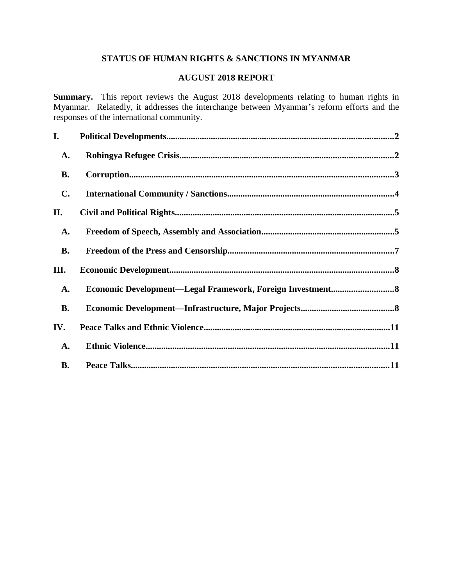# **STATUS OF HUMAN RIGHTS & SANCTIONS IN MYANMAR**

# **AUGUST 2018 REPORT**

**Summary.** This report reviews the August 2018 developments relating to human rights in Myanmar. Relatedly, it addresses the interchange between Myanmar's reform efforts and the responses of the international community.

| I.             |                                                            |  |
|----------------|------------------------------------------------------------|--|
| <b>A.</b>      |                                                            |  |
| <b>B.</b>      |                                                            |  |
| $\mathbf{C}$ . |                                                            |  |
| II.            |                                                            |  |
| <b>A.</b>      |                                                            |  |
| <b>B.</b>      |                                                            |  |
| III.           |                                                            |  |
| <b>A.</b>      | Economic Development-Legal Framework, Foreign Investment 8 |  |
| <b>B.</b>      |                                                            |  |
| IV.            |                                                            |  |
| A.             |                                                            |  |
| <b>B.</b>      |                                                            |  |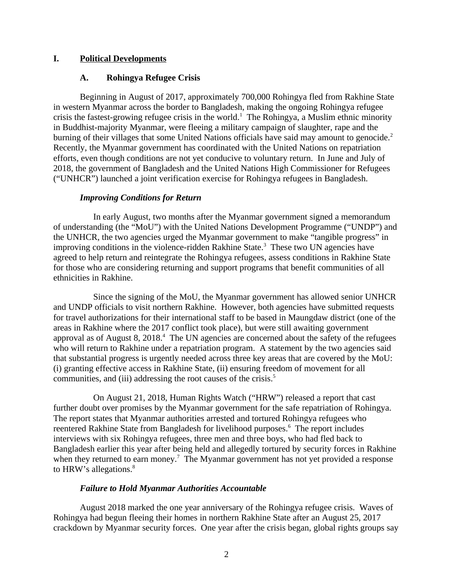### **I. Political Developments**

### <span id="page-1-1"></span><span id="page-1-0"></span>**A. Rohingya Refugee Crisis**

Beginning in August of 2017, approximately 700,000 Rohingya fled from Rakhine State in western Myanmar across the border to Bangladesh, making the ongoing Rohingya refugee crisis the fastest-growing refugee crisis in the world.<sup>1</sup> The Rohingya, a Muslim ethnic minority in Buddhist-majority Myanmar, were fleeing a military campaign of slaughter, rape and the burning of their villages that some United Nations officials have said may amount to genocide.<sup>2</sup> Recently, the Myanmar government has coordinated with the United Nations on repatriation efforts, even though conditions are not yet conducive to voluntary return. In June and July of 2018, the government of Bangladesh and the United Nations High Commissioner for Refugees ("UNHCR") launched a joint verification exercise for Rohingya refugees in Bangladesh.

### *Improving Conditions for Return*

In early August, two months after the Myanmar government signed a memorandum of understanding (the "MoU") with the United Nations Development Programme ("UNDP") and the UNHCR, the two agencies urged the Myanmar government to make "tangible progress" in improving conditions in the violence-ridden Rakhine State.<sup>3</sup> These two UN agencies have agreed to help return and reintegrate the Rohingya refugees, assess conditions in Rakhine State for those who are considering returning and support programs that benefit communities of all ethnicities in Rakhine.

Since the signing of the MoU, the Myanmar government has allowed senior UNHCR and UNDP officials to visit northern Rakhine. However, both agencies have submitted requests for travel authorizations for their international staff to be based in Maungdaw district (one of the areas in Rakhine where the 2017 conflict took place), but were still awaiting government approval as of August 8, 2018. $4$  The UN agencies are concerned about the safety of the refugees who will return to Rakhine under a repatriation program. A statement by the two agencies said that substantial progress is urgently needed across three key areas that are covered by the MoU: (i) granting effective access in Rakhine State, (ii) ensuring freedom of movement for all communities, and (iii) addressing the root causes of the crisis.<sup>5</sup>

On August 21, 2018, Human Rights Watch ("HRW") released a report that cast further doubt over promises by the Myanmar government for the safe repatriation of Rohingya. The report states that Myanmar authorities arrested and tortured Rohingya refugees who reentered Rakhine State from Bangladesh for livelihood purposes.<sup>6</sup> The report includes interviews with six Rohingya refugees, three men and three boys, who had fled back to Bangladesh earlier this year after being held and allegedly tortured by security forces in Rakhine when they returned to earn money.<sup>7</sup> The Myanmar government has not yet provided a response to HRW's allegations.<sup>8</sup>

### *Failure to Hold Myanmar Authorities Accountable*

August 2018 marked the one year anniversary of the Rohingya refugee crisis. Waves of Rohingya had begun fleeing their homes in northern Rakhine State after an August 25, 2017 crackdown by Myanmar security forces. One year after the crisis began, global rights groups say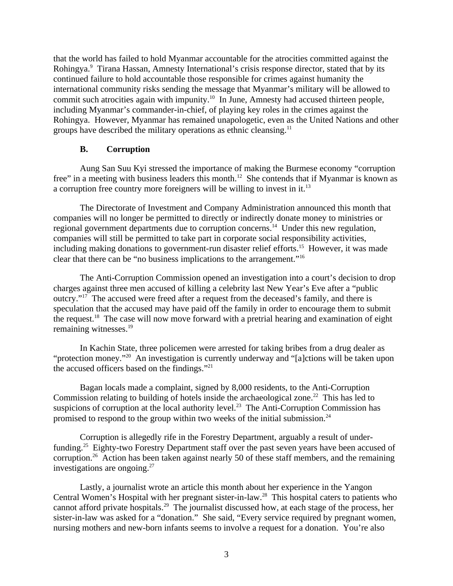that the world has failed to hold Myanmar accountable for the atrocities committed against the Rohingya.<sup>9</sup> Tirana Hassan, Amnesty International's crisis response director, stated that by its continued failure to hold accountable those responsible for crimes against humanity the international community risks sending the message that Myanmar's military will be allowed to commit such atrocities again with impunity.<sup>10</sup> In June, Amnesty had accused thirteen people, including Myanmar's commander-in-chief, of playing key roles in the crimes against the Rohingya. However, Myanmar has remained unapologetic, even as the United Nations and other groups have described the military operations as ethnic cleansing. $11$ 

### <span id="page-2-0"></span>**B. Corruption**

Aung San Suu Kyi stressed the importance of making the Burmese economy "corruption free" in a meeting with business leaders this month.<sup>12</sup> She contends that if Myanmar is known as a corruption free country more foreigners will be willing to invest in it.<sup>13</sup>

The Directorate of Investment and Company Administration announced this month that companies will no longer be permitted to directly or indirectly donate money to ministries or regional government departments due to corruption concerns.<sup>14</sup> Under this new regulation, companies will still be permitted to take part in corporate social responsibility activities, including making donations to government-run disaster relief efforts.<sup>15</sup> However, it was made clear that there can be "no business implications to the arrangement."<sup>16</sup>

The Anti-Corruption Commission opened an investigation into a court's decision to drop charges against three men accused of killing a celebrity last New Year's Eve after a "public outcry."<sup>17</sup> The accused were freed after a request from the deceased's family, and there is speculation that the accused may have paid off the family in order to encourage them to submit the request.<sup>18</sup> The case will now move forward with a pretrial hearing and examination of eight remaining witnesses.<sup>19</sup>

In Kachin State, three policemen were arrested for taking bribes from a drug dealer as "protection money."<sup>20</sup> An investigation is currently underway and "[a]ctions will be taken upon the accused officers based on the findings."<sup>21</sup>

Bagan locals made a complaint, signed by 8,000 residents, to the Anti-Corruption Commission relating to building of hotels inside the archaeological zone.<sup>22</sup> This has led to suspicions of corruption at the local authority level.<sup>23</sup> The Anti-Corruption Commission has promised to respond to the group within two weeks of the initial submission.<sup>24</sup>

Corruption is allegedly rife in the Forestry Department, arguably a result of underfunding.<sup>25</sup> Eighty-two Forestry Department staff over the past seven years have been accused of corruption.<sup>26</sup> Action has been taken against nearly 50 of these staff members, and the remaining investigations are ongoing. $27$ 

Lastly, a journalist wrote an article this month about her experience in the Yangon Central Women's Hospital with her pregnant sister-in-law.<sup>28</sup> This hospital caters to patients who cannot afford private hospitals.<sup>29</sup> The journalist discussed how, at each stage of the process, her sister-in-law was asked for a "donation." She said, "Every service required by pregnant women, nursing mothers and new-born infants seems to involve a request for a donation. You're also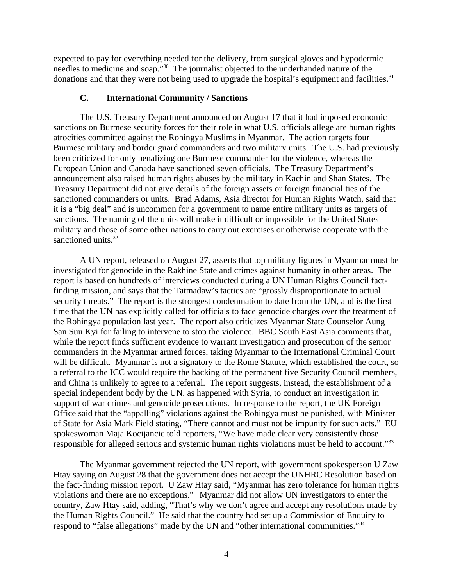expected to pay for everything needed for the delivery, from surgical gloves and hypodermic needles to medicine and soap."<sup>30</sup> The journalist objected to the underhanded nature of the donations and that they were not being used to upgrade the hospital's equipment and facilities.<sup>31</sup>

#### <span id="page-3-0"></span>**C. International Community / Sanctions**

The U.S. Treasury Department announced on August 17 that it had imposed economic sanctions on Burmese security forces for their role in what U.S. officials allege are human rights atrocities committed against the Rohingya Muslims in Myanmar. The action targets four Burmese military and border guard commanders and two military units. The U.S. had previously been criticized for only penalizing one Burmese commander for the violence, whereas the European Union and Canada have sanctioned seven officials. The Treasury Department's announcement also raised human rights abuses by the military in Kachin and Shan States. The Treasury Department did not give details of the foreign assets or foreign financial ties of the sanctioned commanders or units. Brad Adams, Asia director for Human Rights Watch, said that it is a "big deal" and is uncommon for a government to name entire military units as targets of sanctions. The naming of the units will make it difficult or impossible for the United States military and those of some other nations to carry out exercises or otherwise cooperate with the sanctioned units.<sup>32</sup>

A UN report, released on August 27, asserts that top military figures in Myanmar must be investigated for genocide in the Rakhine State and crimes against humanity in other areas. The report is based on hundreds of interviews conducted during a UN Human Rights Council factfinding mission, and says that the Tatmadaw's tactics are "grossly disproportionate to actual security threats." The report is the strongest condemnation to date from the UN, and is the first time that the UN has explicitly called for officials to face genocide charges over the treatment of the Rohingya population last year. The report also criticizes Myanmar State Counselor Aung San Suu Kyi for failing to intervene to stop the violence. BBC South East Asia comments that, while the report finds sufficient evidence to warrant investigation and prosecution of the senior commanders in the Myanmar armed forces, taking Myanmar to the International Criminal Court will be difficult. Myanmar is not a signatory to the Rome Statute, which established the court, so a referral to the ICC would require the backing of the permanent five Security Council members, and China is unlikely to agree to a referral. The report suggests, instead, the establishment of a special independent body by the UN, as happened with Syria, to conduct an investigation in support of war crimes and genocide prosecutions. In response to the report, the UK Foreign Office said that the "appalling" violations against the Rohingya must be punished, with Minister of State for Asia Mark Field stating, "There cannot and must not be impunity for such acts." EU spokeswoman Maja Kocijancic told reporters, "We have made clear very consistently those responsible for alleged serious and systemic human rights violations must be held to account."<sup>33</sup>

The Myanmar government rejected the UN report, with government spokesperson U Zaw Htay saying on August 28 that the government does not accept the UNHRC Resolution based on the fact-finding mission report. U Zaw Htay said, "Myanmar has zero tolerance for human rights violations and there are no exceptions." Myanmar did not allow UN investigators to enter the country, Zaw Htay said, adding, "That's why we don't agree and accept any resolutions made by the Human Rights Council." He said that the country had set up a Commission of Enquiry to respond to "false allegations" made by the UN and "other international communities."<sup>34</sup>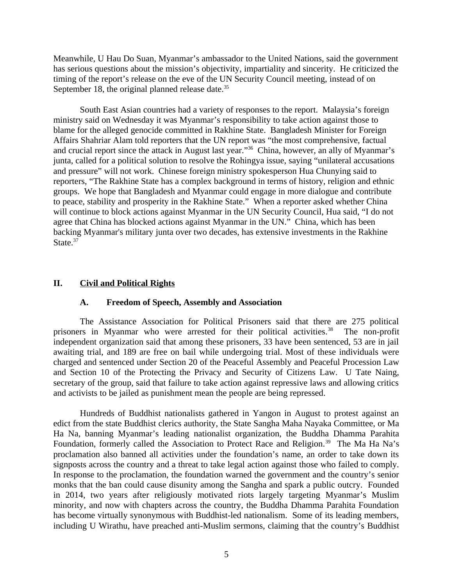Meanwhile, U Hau Do Suan, Myanmar's ambassador to the United Nations, said the government has serious questions about the mission's objectivity, impartiality and sincerity. He criticized the timing of the report's release on the eve of the UN Security Council meeting, instead of on September 18, the original planned release date.<sup>35</sup>

South East Asian countries had a variety of responses to the report. Malaysia's foreign ministry said on Wednesday it was Myanmar's responsibility to take action against those to blame for the alleged genocide committed in Rakhine State. Bangladesh Minister for Foreign Affairs Shahriar Alam told reporters that the UN report was "the most comprehensive, factual and crucial report since the attack in August last year."<sup>36</sup> China, however, an ally of Myanmar's junta, called for a political solution to resolve the Rohingya issue, saying "unilateral accusations and pressure" will not work. Chinese foreign ministry spokesperson Hua Chunying said to reporters, "The Rakhine State has a complex background in terms of history, religion and ethnic groups. We hope that Bangladesh and Myanmar could engage in more dialogue and contribute to peace, stability and prosperity in the Rakhine State." When a reporter asked whether China will continue to block actions against Myanmar in the UN Security Council, Hua said, "I do not agree that China has blocked actions against Myanmar in the UN." China, which has been backing Myanmar's military junta over two decades, has extensive investments in the Rakhine State.<sup>37</sup>

# **II. Civil and Political Rights**

### <span id="page-4-1"></span><span id="page-4-0"></span>**A. Freedom of Speech, Assembly and Association**

The Assistance Association for Political Prisoners said that there are 275 political prisoners in Myanmar who were arrested for their political activities.<sup>38</sup> The non-profit independent organization said that among these prisoners, 33 have been sentenced, 53 are in jail awaiting trial, and 189 are free on bail while undergoing trial. Most of these individuals were charged and sentenced under Section 20 of the Peaceful Assembly and Peaceful Procession Law and Section 10 of the Protecting the Privacy and Security of Citizens Law. U Tate Naing, secretary of the group, said that failure to take action against repressive laws and allowing critics and activists to be jailed as punishment mean the people are being repressed.

Hundreds of Buddhist nationalists gathered in Yangon in August to protest against an edict from the state Buddhist clerics authority, the State Sangha Maha Nayaka Committee, or Ma Ha Na, banning Myanmar's leading nationalist organization, the Buddha Dhamma Parahita Foundation, formerly called the Association to Protect Race and Religion.<sup>39</sup> The Ma Ha Na's proclamation also banned all activities under the foundation's name, an order to take down its signposts across the country and a threat to take legal action against those who failed to comply. In response to the proclamation, the foundation warned the government and the country's senior monks that the ban could cause disunity among the Sangha and spark a public outcry. Founded in 2014, two years after religiously motivated riots largely targeting Myanmar's Muslim minority, and now with chapters across the country, the Buddha Dhamma Parahita Foundation has become virtually synonymous with Buddhist-led nationalism. Some of its leading members, including U Wirathu, have preached anti-Muslim sermons, claiming that the country's Buddhist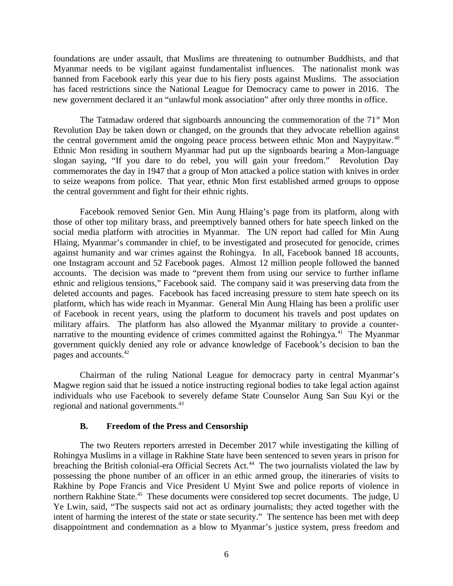foundations are under assault, that Muslims are threatening to outnumber Buddhists, and that Myanmar needs to be vigilant against fundamentalist influences. The nationalist monk was banned from Facebook early this year due to his fiery posts against Muslims. The association has faced restrictions since the National League for Democracy came to power in 2016. The new government declared it an "unlawful monk association" after only three months in office.

The Tatmadaw ordered that signboards announcing the commemoration of the  $71<sup>st</sup>$  Mon Revolution Day be taken down or changed, on the grounds that they advocate rebellion against the central government amid the ongoing peace process between ethnic Mon and Naypyitaw.<sup>40</sup> Ethnic Mon residing in southern Myanmar had put up the signboards bearing a Mon-language slogan saying, "If you dare to do rebel, you will gain your freedom." Revolution Day commemorates the day in 1947 that a group of Mon attacked a police station with knives in order to seize weapons from police. That year, ethnic Mon first established armed groups to oppose the central government and fight for their ethnic rights.

Facebook removed Senior Gen. Min Aung Hlaing's page from its platform, along with those of other top military brass, and preemptively banned others for hate speech linked on the social media platform with atrocities in Myanmar. The UN report had called for Min Aung Hlaing, Myanmar's commander in chief, to be investigated and prosecuted for genocide, crimes against humanity and war crimes against the Rohingya. In all, Facebook banned 18 accounts, one Instagram account and 52 Facebook pages. Almost 12 million people followed the banned accounts. The decision was made to "prevent them from using our service to further inflame ethnic and religious tensions," Facebook said. The company said it was preserving data from the deleted accounts and pages. Facebook has faced increasing pressure to stem hate speech on its platform, which has wide reach in Myanmar. General Min Aung Hlaing has been a prolific user of Facebook in recent years, using the platform to document his travels and post updates on military affairs. The platform has also allowed the Myanmar military to provide a counternarrative to the mounting evidence of crimes committed against the Rohingya.<sup>41</sup> The Myanmar government quickly denied any role or advance knowledge of Facebook's decision to ban the pages and accounts.<sup>42</sup>

Chairman of the ruling National League for democracy party in central Myanmar's Magwe region said that he issued a notice instructing regional bodies to take legal action against individuals who use Facebook to severely defame State Counselor Aung San Suu Kyi or the regional and national governments.<sup>43</sup>

### <span id="page-5-0"></span>**B. Freedom of the Press and Censorship**

The two Reuters reporters arrested in December 2017 while investigating the killing of Rohingya Muslims in a village in Rakhine State have been sentenced to seven years in prison for breaching the British colonial-era Official Secrets Act.<sup>44</sup> The two journalists violated the law by possessing the phone number of an officer in an ethic armed group, the itineraries of visits to Rakhine by Pope Francis and Vice President U Myint Swe and police reports of violence in northern Rakhine State.<sup>45</sup> These documents were considered top secret documents. The judge, U Ye Lwin, said, "The suspects said not act as ordinary journalists; they acted together with the intent of harming the interest of the state or state security." The sentence has been met with deep disappointment and condemnation as a blow to Myanmar's justice system, press freedom and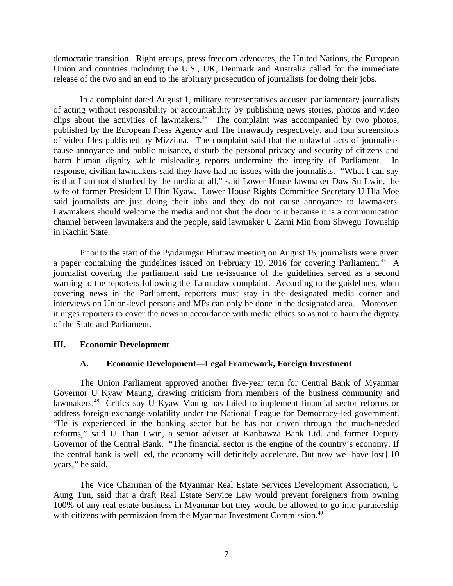democratic transition. Right groups, press freedom advocates, the United Nations, the European Union and countries including the U.S., UK, Denmark and Australia called for the immediate release of the two and an end to the arbitrary prosecution of journalists for doing their jobs.

In a complaint dated August 1, military representatives accused parliamentary journalists of acting without responsibility or accountability by publishing news stories, photos and video clips about the activities of lawmakers.<sup>46</sup> The complaint was accompanied by two photos, published by the European Press Agency and The Irrawaddy respectively, and four screenshots of video files published by Mizzima. The complaint said that the unlawful acts of journalists cause annoyance and public nuisance, disturb the personal privacy and security of citizens and harm human dignity while misleading reports undermine the integrity of Parliament. In response, civilian lawmakers said they have had no issues with the journalists. "What I can say is that I am not disturbed by the media at all," said Lower House lawmaker Daw Su Lwin, the wife of former President U Htin Kyaw. Lower House Rights Committee Secretary U Hla Moe said journalists are just doing their jobs and they do not cause annoyance to lawmakers. Lawmakers should welcome the media and not shut the door to it because it is a communication channel between lawmakers and the people, said lawmaker U Zarni Min from Shwegu Township in Kachin State.

Prior to the start of the Pyidaungsu Hluttaw meeting on August 15, journalists were given a paper containing the guidelines issued on February 19, 2016 for covering Parliament.<sup>47</sup> A journalist covering the parliament said the re-issuance of the guidelines served as a second warning to the reporters following the Tatmadaw complaint. According to the guidelines, when covering news in the Parliament, reporters must stay in the designated media corner and interviews on Union-level persons and MPs can only be done in the designated area. Moreover, it urges reporters to cover the news in accordance with media ethics so as not to harm the dignity of the State and Parliament.

#### **III. Economic Development**

#### <span id="page-6-1"></span><span id="page-6-0"></span>**A. Economic Development—Legal Framework, Foreign Investment**

The Union Parliament approved another five-year term for Central Bank of Myanmar Governor U Kyaw Maung, drawing criticism from members of the business community and lawmakers.<sup>48</sup> Critics say  $\check{U}$  Kyaw Maung has failed to implement financial sector reforms or address foreign-exchange volatility under the National League for Democracy-led government. "He is experienced in the banking sector but he has not driven through the much-needed reforms," said U Than Lwin, a senior adviser at Kanbawza Bank Ltd. and former Deputy Governor of the Central Bank. "The financial sector is the engine of the country's economy. If the central bank is well led, the economy will definitely accelerate. But now we [have lost] 10 years," he said.

The Vice Chairman of the Myanmar Real Estate Services Development Association, U Aung Tun, said that a draft Real Estate Service Law would prevent foreigners from owning 100% of any real estate business in Myanmar but they would be allowed to go into partnership with citizens with permission from the Myanmar Investment Commission.<sup>49</sup>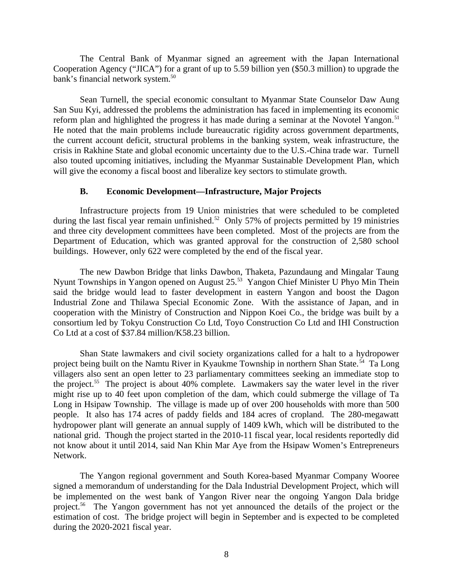The Central Bank of Myanmar signed an agreement with the Japan International Cooperation Agency ("JICA") for a grant of up to 5.59 billion yen (\$50.3 million) to upgrade the bank's financial network system.<sup>50</sup>

Sean Turnell, the special economic consultant to Myanmar State Counselor Daw Aung San Suu Kyi, addressed the problems the administration has faced in implementing its economic reform plan and highlighted the progress it has made during a seminar at the Novotel Yangon.<sup>51</sup> He noted that the main problems include bureaucratic rigidity across government departments, the current account deficit, structural problems in the banking system, weak infrastructure, the crisis in Rakhine State and global economic uncertainty due to the U.S.-China trade war. Turnell also touted upcoming initiatives, including the Myanmar Sustainable Development Plan, which will give the economy a fiscal boost and liberalize key sectors to stimulate growth.

### <span id="page-7-0"></span>**B. Economic Development—Infrastructure, Major Projects**

Infrastructure projects from 19 Union ministries that were scheduled to be completed during the last fiscal year remain unfinished.<sup>52</sup> Only 57% of projects permitted by 19 ministries and three city development committees have been completed. Most of the projects are from the Department of Education, which was granted approval for the construction of 2,580 school buildings. However, only 622 were completed by the end of the fiscal year.

The new Dawbon Bridge that links Dawbon, Thaketa, Pazundaung and Mingalar Taung Nyunt Townships in Yangon opened on August 25.<sup>53</sup> Yangon Chief Minister U Phyo Min Thein said the bridge would lead to faster development in eastern Yangon and boost the Dagon Industrial Zone and Thilawa Special Economic Zone. With the assistance of Japan, and in cooperation with the Ministry of Construction and Nippon Koei Co., the bridge was built by a consortium led by Tokyu Construction Co Ltd, Toyo Construction Co Ltd and IHI Construction Co Ltd at a cost of \$37.84 million/K58.23 billion.

Shan State lawmakers and civil society organizations called for a halt to a hydropower project being built on the Namtu River in Kyaukme Township in northern Shan State.<sup>54</sup> Ta Long villagers also sent an open letter to 23 parliamentary committees seeking an immediate stop to the project.<sup>55</sup> The project is about 40% complete. Lawmakers say the water level in the river might rise up to 40 feet upon completion of the dam, which could submerge the village of Ta Long in Hsipaw Township. The village is made up of over 200 households with more than 500 people. It also has 174 acres of paddy fields and 184 acres of cropland. The 280-megawatt hydropower plant will generate an annual supply of 1409 kWh, which will be distributed to the national grid. Though the project started in the 2010-11 fiscal year, local residents reportedly did not know about it until 2014, said Nan Khin Mar Aye from the Hsipaw Women's Entrepreneurs Network.

The Yangon regional government and South Korea-based Myanmar Company Wooree signed a memorandum of understanding for the Dala Industrial Development Project, which will be implemented on the west bank of Yangon River near the ongoing Yangon Dala bridge project.<sup>56</sup> The Yangon government has not yet announced the details of the project or the estimation of cost. The bridge project will begin in September and is expected to be completed during the 2020-2021 fiscal year.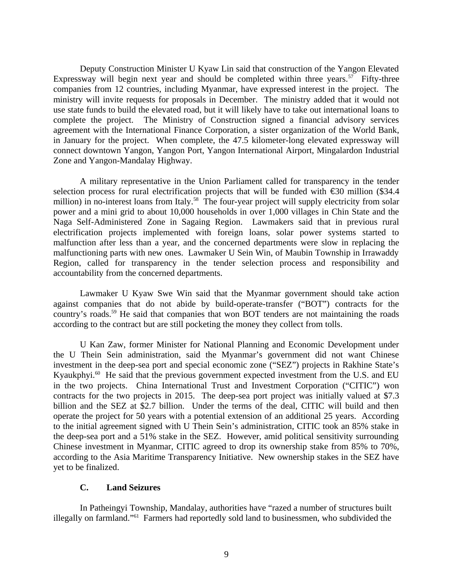Deputy Construction Minister U Kyaw Lin said that construction of the Yangon Elevated Expressway will begin next year and should be completed within three years.<sup>57</sup> Fifty-three companies from 12 countries, including Myanmar, have expressed interest in the project. The ministry will invite requests for proposals in December. The ministry added that it would not use state funds to build the elevated road, but it will likely have to take out international loans to complete the project. The Ministry of Construction signed a financial advisory services agreement with the International Finance Corporation, a sister organization of the World Bank, in January for the project. When complete, the 47.5 kilometer-long elevated expressway will connect downtown Yangon, Yangon Port, Yangon International Airport, Mingalardon Industrial Zone and Yangon-Mandalay Highway.

A military representative in the Union Parliament called for transparency in the tender selection process for rural electrification projects that will be funded with €30 million (\$34.4 million) in no-interest loans from Italy.<sup>58</sup> The four-year project will supply electricity from solar power and a mini grid to about 10,000 households in over 1,000 villages in Chin State and the Naga Self-Administered Zone in Sagaing Region. Lawmakers said that in previous rural electrification projects implemented with foreign loans, solar power systems started to malfunction after less than a year, and the concerned departments were slow in replacing the malfunctioning parts with new ones. Lawmaker U Sein Win, of Maubin Township in Irrawaddy Region, called for transparency in the tender selection process and responsibility and accountability from the concerned departments.

Lawmaker U Kyaw Swe Win said that the Myanmar government should take action against companies that do not abide by build-operate-transfer ("BOT") contracts for the country's roads.<sup>59</sup> He said that companies that won BOT tenders are not maintaining the roads according to the contract but are still pocketing the money they collect from tolls.

U Kan Zaw, former Minister for National Planning and Economic Development under the U Thein Sein administration, said the Myanmar's government did not want Chinese investment in the deep-sea port and special economic zone ("SEZ") projects in Rakhine State's Kyaukphyi.<sup>60</sup> He said that the previous government expected investment from the U.S. and EU in the two projects. China International Trust and Investment Corporation ("CITIC") won contracts for the two projects in 2015. The deep-sea port project was initially valued at \$7.3 billion and the SEZ at \$2.7 billion. Under the terms of the deal, CITIC will build and then operate the project for 50 years with a potential extension of an additional 25 years. According to the initial agreement signed with U Thein Sein's administration, CITIC took an 85% stake in the deep-sea port and a 51% stake in the SEZ. However, amid political sensitivity surrounding Chinese investment in Myanmar, CITIC agreed to drop its ownership stake from 85% to 70%, according to the Asia Maritime Transparency Initiative. New ownership stakes in the SEZ have yet to be finalized.

### **C. Land Seizures**

In Patheingyi Township, Mandalay, authorities have "razed a number of structures built illegally on farmland."<sup>61</sup> Farmers had reportedly sold land to businessmen, who subdivided the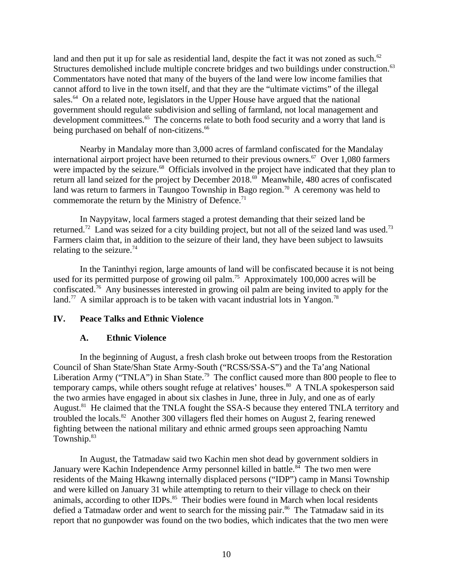land and then put it up for sale as residential land, despite the fact it was not zoned as such.<sup>62</sup> Structures demolished include multiple concrete bridges and two buildings under construction.<sup>63</sup> Commentators have noted that many of the buyers of the land were low income families that cannot afford to live in the town itself, and that they are the "ultimate victims" of the illegal sales.<sup>64</sup> On a related note, legislators in the Upper House have argued that the national government should regulate subdivision and selling of farmland, not local management and development committees.<sup>65</sup> The concerns relate to both food security and a worry that land is being purchased on behalf of non-citizens.<sup>66</sup>

Nearby in Mandalay more than 3,000 acres of farmland confiscated for the Mandalay international airport project have been returned to their previous owners.<sup>67</sup> Over 1,080 farmers were impacted by the seizure.<sup>68</sup> Officials involved in the project have indicated that they plan to return all land seized for the project by December 2018.<sup>69</sup> Meanwhile, 480 acres of confiscated land was return to farmers in Taungoo Township in Bago region.<sup>70</sup> A ceremony was held to commemorate the return by the Ministry of Defence.<sup>71</sup>

In Naypyitaw, local farmers staged a protest demanding that their seized land be returned.<sup>72</sup> Land was seized for a city building project, but not all of the seized land was used.<sup>73</sup> Farmers claim that, in addition to the seizure of their land, they have been subject to lawsuits relating to the seizure. $74$ 

In the Taninthyi region, large amounts of land will be confiscated because it is not being used for its permitted purpose of growing oil palm.<sup>75</sup> Approximately 100,000 acres will be confiscated.<sup>76</sup> Any businesses interested in growing oil palm are being invited to apply for the land.<sup>77</sup> A similar approach is to be taken with vacant industrial lots in Yangon.<sup>78</sup>

### **IV. Peace Talks and Ethnic Violence**

# <span id="page-9-1"></span><span id="page-9-0"></span>**A. Ethnic Violence**

In the beginning of August, a fresh clash broke out between troops from the Restoration Council of Shan State/Shan State Army-South ("RCSS/SSA-S") and the Ta'ang National Liberation Army ("TNLA") in Shan State.<sup>79</sup> The conflict caused more than 800 people to flee to temporary camps, while others sought refuge at relatives' houses. $80$  A TNLA spokesperson said the two armies have engaged in about six clashes in June, three in July, and one as of early August.<sup>81</sup> He claimed that the TNLA fought the SSA-S because they entered TNLA territory and troubled the locals.<sup>82</sup> Another 300 villagers fled their homes on August 2, fearing renewed fighting between the national military and ethnic armed groups seen approaching Namtu Township.<sup>83</sup>

In August, the Tatmadaw said two Kachin men shot dead by government soldiers in January were Kachin Independence Army personnel killed in battle.<sup>84</sup> The two men were residents of the Maing Hkawng internally displaced persons ("IDP") camp in Mansi Township and were killed on January 31 while attempting to return to their village to check on their animals, according to other IDPs.<sup>85</sup> Their bodies were found in March when local residents defied a Tatmadaw order and went to search for the missing pair. $86$  The Tatmadaw said in its report that no gunpowder was found on the two bodies, which indicates that the two men were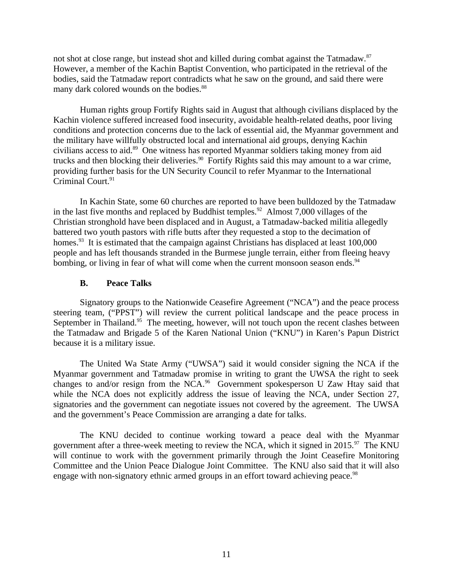not shot at close range, but instead shot and killed during combat against the Tatmadaw.<sup>87</sup> However, a member of the Kachin Baptist Convention, who participated in the retrieval of the bodies, said the Tatmadaw report contradicts what he saw on the ground, and said there were many dark colored wounds on the bodies.<sup>88</sup>

Human rights group Fortify Rights said in August that although civilians displaced by the Kachin violence suffered increased food insecurity, avoidable health-related deaths, poor living conditions and protection concerns due to the lack of essential aid, the Myanmar government and the military have willfully obstructed local and international aid groups, denying Kachin civilians access to aid.<sup>89</sup> One witness has reported Myanmar soldiers taking money from aid trucks and then blocking their deliveries.<sup>90</sup> Fortify Rights said this may amount to a war crime, providing further basis for the UN Security Council to refer Myanmar to the International Criminal Court.<sup>91</sup>

In Kachin State, some 60 churches are reported to have been bulldozed by the Tatmadaw in the last five months and replaced by Buddhist temples.<sup>92</sup> Almost 7,000 villages of the Christian stronghold have been displaced and in August, a Tatmadaw-backed militia allegedly battered two youth pastors with rifle butts after they requested a stop to the decimation of homes.<sup>93</sup> It is estimated that the campaign against Christians has displaced at least 100,000 people and has left thousands stranded in the Burmese jungle terrain, either from fleeing heavy bombing, or living in fear of what will come when the current monsoon season ends.<sup>94</sup>

#### <span id="page-10-0"></span>**B. Peace Talks**

Signatory groups to the Nationwide Ceasefire Agreement ("NCA") and the peace process steering team, ("PPST") will review the current political landscape and the peace process in September in Thailand. $95$  The meeting, however, will not touch upon the recent clashes between the Tatmadaw and Brigade 5 of the Karen National Union ("KNU") in Karen's Papun District because it is a military issue.

The United Wa State Army ("UWSA") said it would consider signing the NCA if the Myanmar government and Tatmadaw promise in writing to grant the UWSA the right to seek changes to and/or resign from the  $NCA<sup>96</sup>$  Government spokesperson U Zaw Htay said that while the NCA does not explicitly address the issue of leaving the NCA, under Section 27, signatories and the government can negotiate issues not covered by the agreement. The UWSA and the government's Peace Commission are arranging a date for talks.

The KNU decided to continue working toward a peace deal with the Myanmar government after a three-week meeting to review the NCA, which it signed in  $2015.^{97}$  The KNU will continue to work with the government primarily through the Joint Ceasefire Monitoring Committee and the Union Peace Dialogue Joint Committee. The KNU also said that it will also engage with non-signatory ethnic armed groups in an effort toward achieving peace.<sup>98</sup>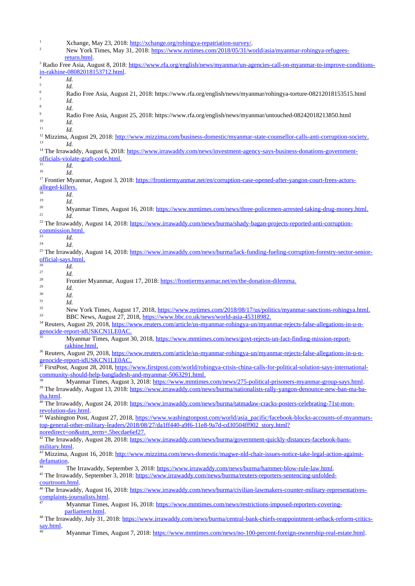| $\mathbf{1}$<br>2                                                                                                                        | Xchange, May 23, 2018: http://xchange.org/rohingya-repatriation-survey/.<br>New York Times, May 31, 2018: https://www.nytimes.com/2018/05/31/world/asia/myanmar-rohingya-refugees- |  |
|------------------------------------------------------------------------------------------------------------------------------------------|------------------------------------------------------------------------------------------------------------------------------------------------------------------------------------|--|
|                                                                                                                                          | return.html                                                                                                                                                                        |  |
|                                                                                                                                          | <sup>3</sup> Radio Free Asia, August 8, 2018: https://www.rfa.org/english/news/myanmar/un-agencies-call-on-myanmar-to-improve-conditions-                                          |  |
|                                                                                                                                          | in-rakhine-08082018153712.html.                                                                                                                                                    |  |
| Id.<br>5<br>Id.                                                                                                                          |                                                                                                                                                                                    |  |
| $\,6\,$                                                                                                                                  | Radio Free Asia, August 21, 2018: https://www.rfa.org/english/news/myanmar/rohingya-torture-08212018153515.html                                                                    |  |
| $\sqrt{ }$<br>Id.                                                                                                                        |                                                                                                                                                                                    |  |
| 8<br>Id.                                                                                                                                 |                                                                                                                                                                                    |  |
| $9\,$                                                                                                                                    | Radio Free Asia, August 25, 2018: https://www.rfa.org/english/news/myanmar/untouched-08242018213850.html                                                                           |  |
| 10<br>Id.                                                                                                                                |                                                                                                                                                                                    |  |
| 11<br>Id.                                                                                                                                |                                                                                                                                                                                    |  |
|                                                                                                                                          | <sup>12</sup> Mizzima, August 29, 2018: http://www.mizzima.com/business-domestic/myanmar-state-counsellor-calls-anti-corruption-society.                                           |  |
| 13<br>Id.                                                                                                                                |                                                                                                                                                                                    |  |
| <sup>14</sup> The Irrawaddy, August 6, 2018: https://www.irrawaddy.com/news/investment-agency-says-business-donations-government-        |                                                                                                                                                                                    |  |
| 15                                                                                                                                       | officials-violate-graft-code.html.                                                                                                                                                 |  |
| Id.<br>16                                                                                                                                |                                                                                                                                                                                    |  |
| Id.                                                                                                                                      | <sup>17</sup> Frontier Myanmar, August 3, 2018: https://frontiermyanmar.net/en/corruption-case-opened-after-yangon-court-frees-actors-                                             |  |
| alleged-killers.                                                                                                                         |                                                                                                                                                                                    |  |
| 18<br>Id.                                                                                                                                |                                                                                                                                                                                    |  |
| 19<br>Id.                                                                                                                                |                                                                                                                                                                                    |  |
| 20                                                                                                                                       | Myanmar Times, August 16, 2018: https://www.mmtimes.com/news/three-policemen-arrested-taking-drug-money.html.                                                                      |  |
| 21<br>Id.                                                                                                                                |                                                                                                                                                                                    |  |
|                                                                                                                                          | <sup>22</sup> The Irrawaddy, August 14, 2018: https://www.irrawaddy.com/news/burma/shady-bagan-projects-reported-anti-corruption-                                                  |  |
| commission.html.                                                                                                                         |                                                                                                                                                                                    |  |
| 23<br>Id.                                                                                                                                |                                                                                                                                                                                    |  |
| 24<br>Id.                                                                                                                                |                                                                                                                                                                                    |  |
|                                                                                                                                          | <sup>25</sup> The Irrawaddy, August 14, 2018: https://www.irrawaddy.com/news/burma/lack-funding-fueling-corruption-forestry-sector-senior-                                         |  |
| official-says.html.<br>26                                                                                                                |                                                                                                                                                                                    |  |
| Id.<br>27                                                                                                                                |                                                                                                                                                                                    |  |
| Id.<br>28                                                                                                                                | Frontier Myanmar, August 17, 2018: https://frontiermyanmar.net/en/the-donation-dilemma.                                                                                            |  |
| 29<br>Id.                                                                                                                                |                                                                                                                                                                                    |  |
| 30<br>Id.                                                                                                                                |                                                                                                                                                                                    |  |
| 31<br>Id.                                                                                                                                |                                                                                                                                                                                    |  |
| 32                                                                                                                                       | New York Times, August 17, 2018, https://www.nytimes.com/2018/08/17/us/politics/myanmar-sanctions-rohingya.html.                                                                   |  |
| 33                                                                                                                                       | BBC News, August 27, 2018, https://www.bbc.co.uk/news/world-asia-45318982.                                                                                                         |  |
| <sup>34</sup> Reuters, August 29, 2018, https://www.reuters.com/article/us-myanmar-rohingya-un/myanmar-rejects-false-allegations-in-u-n- |                                                                                                                                                                                    |  |
| $\overline{35}$                                                                                                                          | genocide-report-idUSKCN1LE0AC.                                                                                                                                                     |  |
|                                                                                                                                          | Myanmar Times, August 30, 2018, https://www.mmtimes.com/news/govt-rejects-un-fact-finding-mission-report-                                                                          |  |
|                                                                                                                                          | rakhine.html.                                                                                                                                                                      |  |
|                                                                                                                                          | <sup>36</sup> Reuters, August 29, 2018, https://www.reuters.com/article/us-myanmar-rohingya-un/myanmar-rejects-false-allegations-in-u-n-<br>genocide-report-idUSKCN1LE0AC.         |  |
|                                                                                                                                          | <sup>37</sup> FirstPost, August 28, 2018, https://www.firstpost.com/world/rohingya-crisis-china-calls-for-political-solution-says-international-                                   |  |
|                                                                                                                                          | community-should-help-bangladesh-and-myanmar-5063291.html.                                                                                                                         |  |
| 38                                                                                                                                       | Myanmar Times, August 3, 2018: https://www.mmtimes.com/news/275-political-prisoners-myanmar-group-says.html.                                                                       |  |
|                                                                                                                                          | <sup>39</sup> The Irrawaddy, August 13, 2018: https://www.irrawaddy.com/news/burma/nationalists-rally-vangon-denounce-new-ban-ma-ba-                                               |  |
| tha.html.                                                                                                                                |                                                                                                                                                                                    |  |
|                                                                                                                                          | <sup>40</sup> The Irrawaddy, August 24, 2018: https://www.irrawaddy.com/news/burma/tatmadaw-cracks-posters-celebrating-71st-mon-                                                   |  |
| revolution-day.html.                                                                                                                     |                                                                                                                                                                                    |  |
|                                                                                                                                          | <sup>41</sup> Washington Post, August 27, 2018, https://www.washingtonpost.com/world/asia_pacific/facebook-blocks-accounts-of-myanmars-                                            |  |
|                                                                                                                                          | top-general-other-military-leaders/2018/08/27/da1ff440-a9f6-11e8-9a7d-cd30504ff902 story.html?                                                                                     |  |
|                                                                                                                                          | noredirect=on&utm_term=.5becdae6ef27.                                                                                                                                              |  |
|                                                                                                                                          | <sup>42</sup> The Irrawaddy, August 28, 2018: https://www.irrawaddy.com/news/burma/government-quickly-distances-facebook-bans-                                                     |  |
| military.html.                                                                                                                           |                                                                                                                                                                                    |  |
| defamation.                                                                                                                              | <sup>43</sup> Mizzima, August 16, 2018: http://www.mizzima.com/news-domestic/magwe-nld-chair-issues-notice-take-legal-action-against-                                              |  |
| 44                                                                                                                                       | The Irrawaddy, September 3, 2018: https://www.irrawaddy.com/news/burma/hammer-blow-rule-law.html.                                                                                  |  |
|                                                                                                                                          | <sup>45</sup> The Irrawaddy, September 3, 2018: https://www.irrawaddy.com/news/burma/reuters-reporters-sentencing-unfolded-                                                        |  |
| courtroom.html.                                                                                                                          |                                                                                                                                                                                    |  |
| <sup>46</sup> The Irrawaddy, August 16, 2018: https://www.irrawaddy.com/news/burma/civilian-lawmakers-counter-military-representatives-  |                                                                                                                                                                                    |  |
|                                                                                                                                          | complaints-journalists.html.                                                                                                                                                       |  |
| 47                                                                                                                                       | Myanmar Times, August 16, 2018: https://www.mmtimes.com/news/restrictions-imposed-reporters-covering-                                                                              |  |
|                                                                                                                                          | parliament.html.                                                                                                                                                                   |  |
|                                                                                                                                          | <sup>48</sup> The Irrawaddy, July 31, 2018: https://www.irrawaddy.com/news/burma/central-bank-chiefs-reappointment-setback-reform-critics-                                         |  |
| say.html.                                                                                                                                | Myanmar Times, August 7, 2018: https://www.mmtimes.com/news/no-100-percent-foreign-ownership-real-estate.html.                                                                     |  |
|                                                                                                                                          |                                                                                                                                                                                    |  |